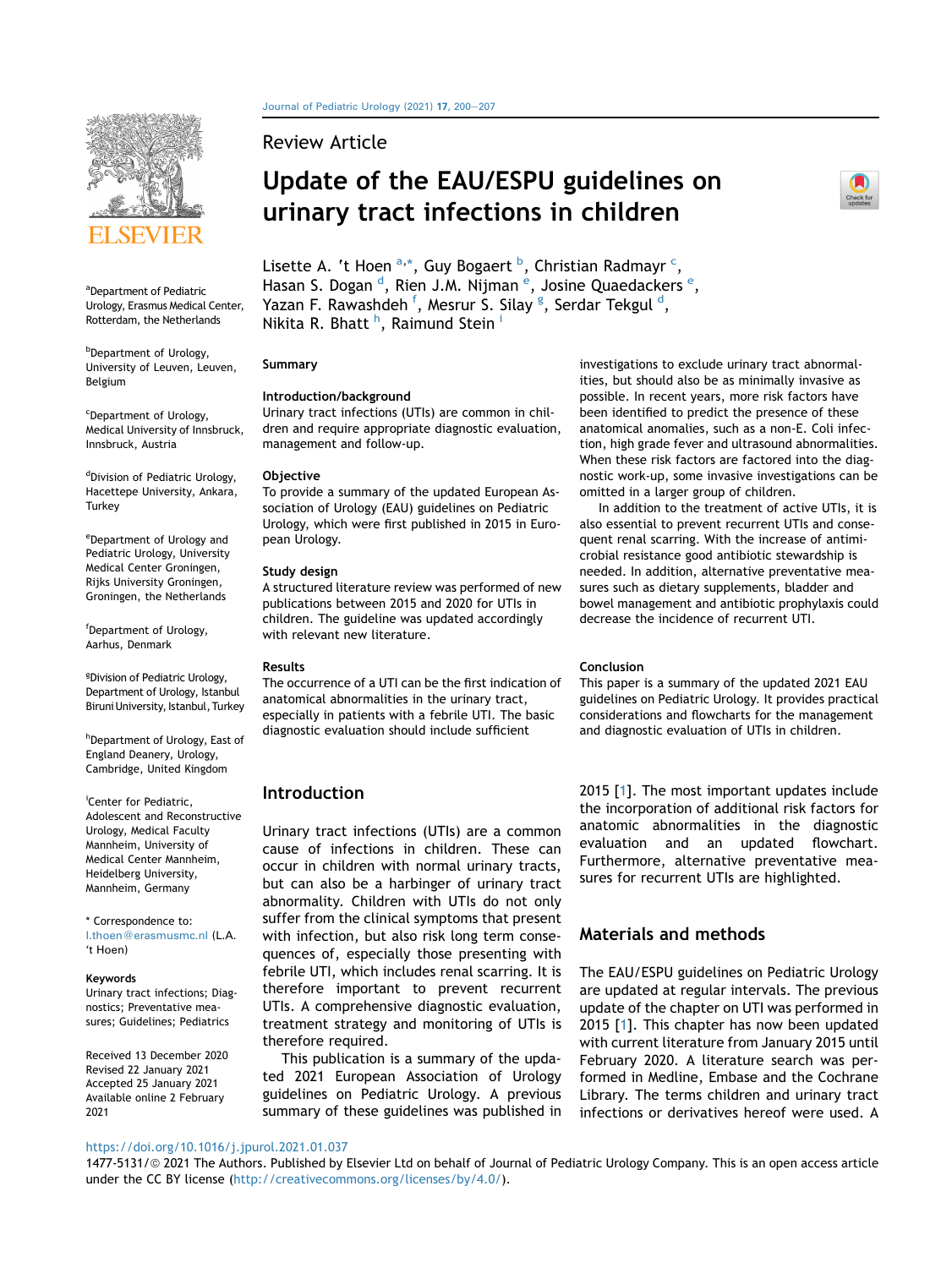

<span id="page-0-0"></span><sup>a</sup>Department of Pediatric Urology, Erasmus Medical Center, Rotterdam, the Netherlands

<span id="page-0-2"></span>**b** Department of Urology, University of Leuven, Leuven, Belgium

<span id="page-0-3"></span><sup>c</sup>Department of Urology, Medical University of Innsbruck, Innsbruck, Austria

<span id="page-0-4"></span>dDivision of Pediatric Urology, Hacettepe University, Ankara, **Turkey** 

<span id="page-0-5"></span>e Department of Urology and Pediatric Urology, University Medical Center Groningen, Rijks University Groningen, Groningen, the Netherlands

<span id="page-0-6"></span>f Department of Urology, Aarhus, Denmark

<span id="page-0-7"></span><sup>g</sup>Division of Pediatric Urology, Department of Urology, Istanbul Biruni University, Istanbul, Turkey

<span id="page-0-8"></span>h Department of Urology, East of England Deanery, Urology, Cambridge, United Kingdom

<span id="page-0-9"></span>i Center for Pediatric, Adolescent and Reconstructive Urology, Medical Faculty Mannheim, University of Medical Center Mannheim, Heidelberg University, Mannheim, Germany

\* Correspondence to:

[l.thoen@erasmusmc.nl](mailto:l.thoen@erasmusmc.nl) (L.A. 't Hoen)

#### <span id="page-0-1"></span>Keywords

Urinary tract infections; Diagnostics; Preventative measures; Guidelines; Pediatrics

Received 13 December 2020 Revised 22 January 2021 Accepted 25 January 2021 Available online 2 February 2021

[Journal of Pediatric Urology \(2021\)](https://doi.org/10.1016/j.jpurol.2021.01.037) 17, 200-[207](https://doi.org/10.1016/j.jpurol.2021.01.037)

Review Article

# Update of the EAU/ESPU guidelines on urinary tract infections in children



Lisette A. 't Hoen <sup>[a](#page-0-0),[\\*](#page-0-1)</sup>[, Guy Bogaert](mailto:l.thoen@erasmusmc.nl) <sup>[b](#page-0-2)</sup>, Christian Radmayr <sup>[c](#page-0-3)</sup>, Hasan S. Dogan <sup>[d](#page-0-4)</sup>, Ri[e](#page-0-5)n J.M. Nijman <sup>e</sup>, Josine Quaedackers <sup>e</sup>, Yazan F. Rawashdeh <sup>[f](#page-0-6)</sup>, Mesrur S. Silay <sup>[g](#page-0-7)</sup>, Ser[d](#page-0-4)ar Tekgul <sup>d</sup>, Nikita R. B[h](#page-0-8)att <sup>h</sup>, Ra[i](#page-0-9)mund Stein <sup>i</sup>

#### Summary

#### Introduction/background

Urinary tract infections (UTIs) are common in children and require appropriate diagnostic evaluation, management and follow-up.

#### **Objective**

To provide a summary of the updated European Association of Urology (EAU) guidelines on Pediatric Urology, which were first published in 2015 in European Urology.

#### Study design

A structured literature review was performed of new publications between 2015 and 2020 for UTIs in children. The guideline was updated accordingly with relevant new literature.

#### Results

The occurrence of a UTI can be the first indication of anatomical abnormalities in the urinary tract, especially in patients with a febrile UTI. The basic diagnostic evaluation should include sufficient

# Introduction

Urinary tract infections (UTIs) are a common cause of infections in children. These can occur in children with normal urinary tracts, but can also be a harbinger of urinary tract abnormality. Children with UTIs do not only suffer from the clinical symptoms that present with infection, but also risk long term consequences of, especially those presenting with febrile UTI, which includes renal scarring. It is therefore important to prevent recurrent UTIs. A comprehensive diagnostic evaluation, treatment strategy and monitoring of UTIs is therefore required.

This publication is a summary of the updated 2021 European Association of Urology guidelines on Pediatric Urology. A previous summary of these guidelines was published in investigations to exclude urinary tract abnormalities, but should also be as minimally invasive as possible. In recent years, more risk factors have been identified to predict the presence of these anatomical anomalies, such as a non-E. Coli infection, high grade fever and ultrasound abnormalities. When these risk factors are factored into the diagnostic work-up, some invasive investigations can be omitted in a larger group of children.

In addition to the treatment of active UTIs, it is also essential to prevent recurrent UTIs and consequent renal scarring. With the increase of antimicrobial resistance good antibiotic stewardship is needed. In addition, alternative preventative measures such as dietary supplements, bladder and bowel management and antibiotic prophylaxis could decrease the incidence of recurrent UTI.

#### Conclusion

This paper is a summary of the updated 2021 EAU guidelines on Pediatric Urology. It provides practical considerations and flowcharts for the management and diagnostic evaluation of UTIs in children.

2015 [[1](#page-6-0)]. The most important updates include the incorporation of additional risk factors for anatomic abnormalities in the diagnostic evaluation and an updated flowchart. Furthermore, alternative preventative measures for recurrent UTIs are highlighted.

# Materials and methods

The EAU/ESPU guidelines on Pediatric Urology are updated at regular intervals. The previous update of the chapter on UTI was performed in 2015 [\[1\]](#page-6-0). This chapter has now been updated with current literature from January 2015 until February 2020. A literature search was performed in Medline, Embase and the Cochrane Library. The terms children and urinary tract infections or derivatives hereof were used. A

#### <https://doi.org/10.1016/j.jpurol.2021.01.037>

1477-5131/© 2021 The Authors. Published by Elsevier Ltd on behalf of Journal of Pediatric Urology Company. This is an open access article under the CC BY license [\(http://creativecommons.org/licenses/by/4.0/\)](http://creativecommons.org/licenses/by/4.0/).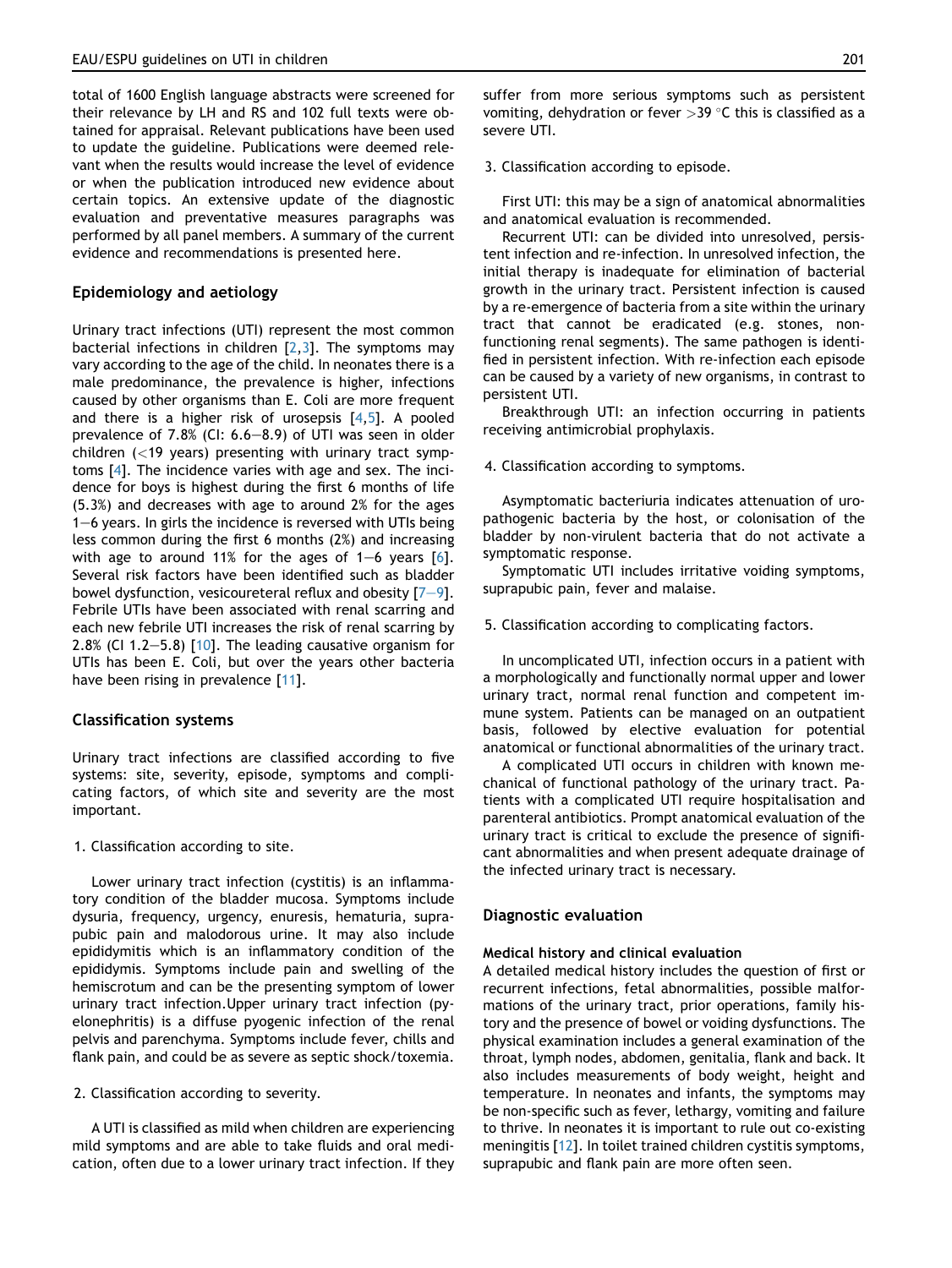total of 1600 English language abstracts were screened for their relevance by LH and RS and 102 full texts were obtained for appraisal. Relevant publications have been used to update the guideline. Publications were deemed relevant when the results would increase the level of evidence or when the publication introduced new evidence about certain topics. An extensive update of the diagnostic evaluation and preventative measures paragraphs was performed by all panel members. A summary of the current evidence and recommendations is presented here.

## Epidemiology and aetiology

Urinary tract infections (UTI) represent the most common bacterial infections in children  $[2,3]$  $[2,3]$ . The symptoms may vary according to the age of the child. In neonates there is a male predominance, the prevalence is higher, infections caused by other organisms than E. Coli are more frequent and there is a higher risk of urosepsis  $[4,5]$  $[4,5]$ . A pooled prevalence of  $7.8\%$  (CI:  $6.6-8.9$ ) of UTI was seen in older children  $(<19$  years) presenting with urinary tract symptoms [\[4\]](#page-6-3). The incidence varies with age and sex. The incidence for boys is highest during the first 6 months of life (5.3%) and decreases with age to around 2% for the ages  $1-6$  years. In girls the incidence is reversed with UTIs being less common during the first 6 months (2%) and increasing with age to around 11% for the ages of  $1-6$  years  $[6]$ . Several risk factors have been identified such as bladder bowel dysfunction, vesicoureteral reflux and obesity  $[7-9]$  $[7-9]$  $[7-9]$  $[7-9]$ . Febrile UTIs have been associated with renal scarring and each new febrile UTI increases the risk of renal scarring by 2.8% (CI 1.2-5.8)  $[10]$  $[10]$ . The leading causative organism for UTIs has been E. Coli, but over the years other bacteria have been rising in prevalence [\[11](#page-6-8)].

## Classification systems

Urinary tract infections are classified according to five systems: site, severity, episode, symptoms and complicating factors, of which site and severity are the most important.

1. Classification according to site.

Lower urinary tract infection (cystitis) is an inflammatory condition of the bladder mucosa. Symptoms include dysuria, frequency, urgency, enuresis, hematuria, suprapubic pain and malodorous urine. It may also include epididymitis which is an inflammatory condition of the epididymis. Symptoms include pain and swelling of the hemiscrotum and can be the presenting symptom of lower urinary tract infection.Upper urinary tract infection (pyelonephritis) is a diffuse pyogenic infection of the renal pelvis and parenchyma. Symptoms include fever, chills and flank pain, and could be as severe as septic shock/toxemia.

2. Classification according to severity.

A UTI is classified as mild when children are experiencing mild symptoms and are able to take fluids and oral medication, often due to a lower urinary tract infection. If they suffer from more serious symptoms such as persistent vomiting, dehydration or fever  $>39$  °C this is classified as a severe UTI.

3. Classification according to episode.

First UTI: this may be a sign of anatomical abnormalities and anatomical evaluation is recommended.

Recurrent UTI: can be divided into unresolved, persistent infection and re-infection. In unresolved infection, the initial therapy is inadequate for elimination of bacterial growth in the urinary tract. Persistent infection is caused by a re-emergence of bacteria from a site within the urinary tract that cannot be eradicated (e.g. stones, nonfunctioning renal segments). The same pathogen is identified in persistent infection. With re-infection each episode can be caused by a variety of new organisms, in contrast to persistent UTI.

Breakthrough UTI: an infection occurring in patients receiving antimicrobial prophylaxis.

4. Classification according to symptoms.

Asymptomatic bacteriuria indicates attenuation of uropathogenic bacteria by the host, or colonisation of the bladder by non-virulent bacteria that do not activate a symptomatic response.

Symptomatic UTI includes irritative voiding symptoms, suprapubic pain, fever and malaise.

#### 5. Classification according to complicating factors.

In uncomplicated UTI, infection occurs in a patient with a morphologically and functionally normal upper and lower urinary tract, normal renal function and competent immune system. Patients can be managed on an outpatient basis, followed by elective evaluation for potential anatomical or functional abnormalities of the urinary tract.

A complicated UTI occurs in children with known mechanical of functional pathology of the urinary tract. Patients with a complicated UTI require hospitalisation and parenteral antibiotics. Prompt anatomical evaluation of the urinary tract is critical to exclude the presence of significant abnormalities and when present adequate drainage of the infected urinary tract is necessary.

## Diagnostic evaluation

#### Medical history and clinical evaluation

A detailed medical history includes the question of first or recurrent infections, fetal abnormalities, possible malformations of the urinary tract, prior operations, family history and the presence of bowel or voiding dysfunctions. The physical examination includes a general examination of the throat, lymph nodes, abdomen, genitalia, flank and back. It also includes measurements of body weight, height and temperature. In neonates and infants, the symptoms may be non-specific such as fever, lethargy, vomiting and failure to thrive. In neonates it is important to rule out co-existing meningitis [\[12\]](#page-6-9). In toilet trained children cystitis symptoms, suprapubic and flank pain are more often seen.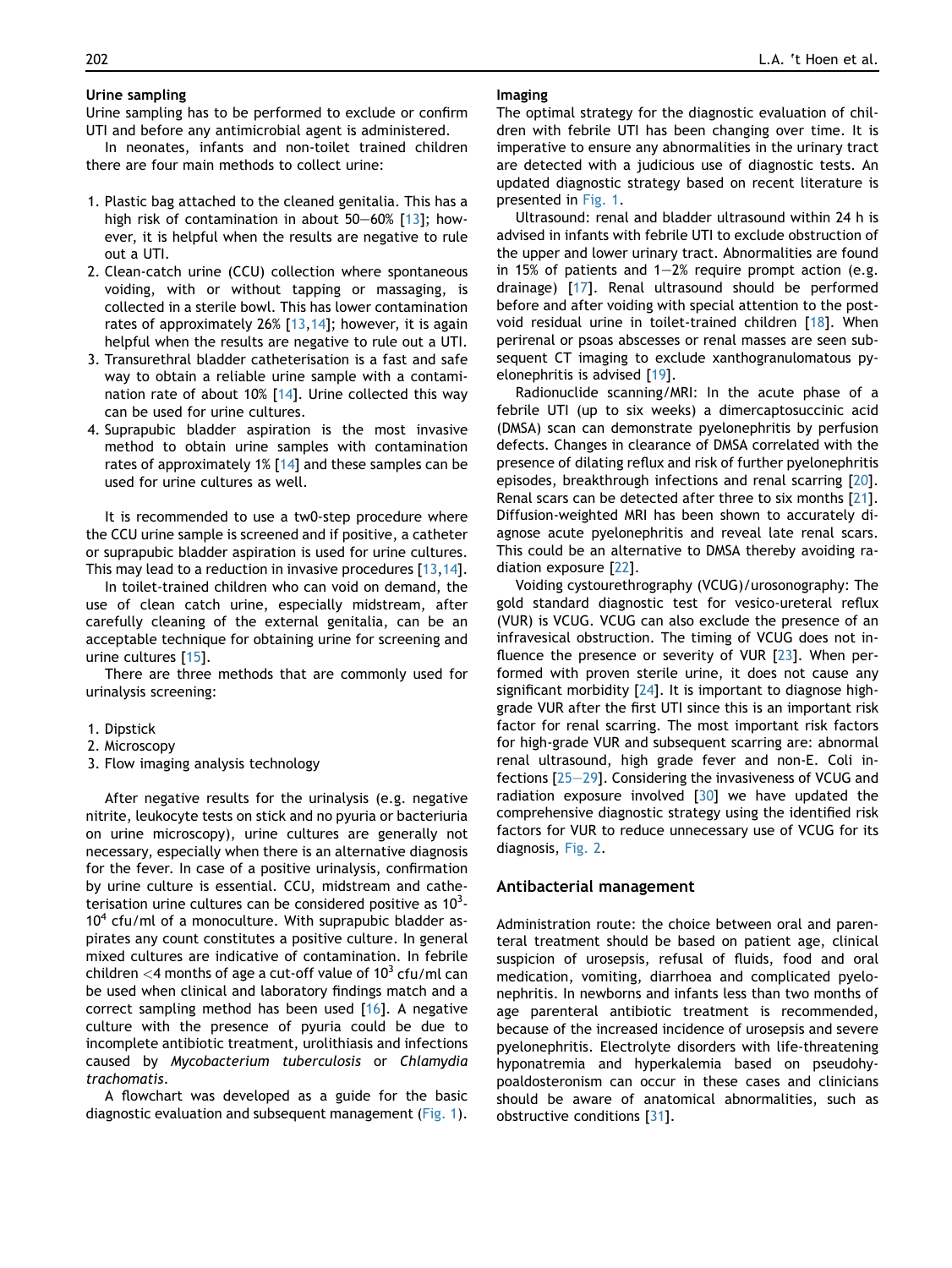## Urine sampling

Urine sampling has to be performed to exclude or confirm UTI and before any antimicrobial agent is administered.

In neonates, infants and non-toilet trained children there are four main methods to collect urine:

- 1. Plastic bag attached to the cleaned genitalia. This has a high risk of contamination in about  $50-60\%$  [[13\]](#page-6-10); however, it is helpful when the results are negative to rule out a UTI.
- 2. Clean-catch urine (CCU) collection where spontaneous voiding, with or without tapping or massaging, is collected in a sterile bowl. This has lower contamination rates of approximately 26% [[13](#page-6-10),[14\]](#page-6-11); however, it is again helpful when the results are negative to rule out a UTI.
- 3. Transurethral bladder catheterisation is a fast and safe way to obtain a reliable urine sample with a contamination rate of about 10% [[14](#page-6-11)]. Urine collected this way can be used for urine cultures.
- 4. Suprapubic bladder aspiration is the most invasive method to obtain urine samples with contamination rates of approximately 1% [\[14](#page-6-11)] and these samples can be used for urine cultures as well.

It is recommended to use a tw0-step procedure where the CCU urine sample is screened and if positive, a catheter or suprapubic bladder aspiration is used for urine cultures. This may lead to a reduction in invasive procedures [\[13,](#page-6-10)[14](#page-6-11)].

In toilet-trained children who can void on demand, the use of clean catch urine, especially midstream, after carefully cleaning of the external genitalia, can be an acceptable technique for obtaining urine for screening and urine cultures [\[15\]](#page-6-12).

There are three methods that are commonly used for urinalysis screening:

- 1. Dipstick
- 2. Microscopy
- 3. Flow imaging analysis technology

After negative results for the urinalysis (e.g. negative nitrite, leukocyte tests on stick and no pyuria or bacteriuria on urine microscopy), urine cultures are generally not necessary, especially when there is an alternative diagnosis for the fever. In case of a positive urinalysis, confirmation by urine culture is essential. CCU, midstream and catheterisation urine cultures can be considered positive as  $10^3$ - $10<sup>4</sup>$  cfu/ml of a monoculture. With suprapubic bladder aspirates any count constitutes a positive culture. In general mixed cultures are indicative of contamination. In febrile children  $<$ 4 months of age a cut-off value of 10<sup>3</sup> cfu/ml can be used when clinical and laboratory findings match and a correct sampling method has been used [[16](#page-6-13)]. A negative culture with the presence of pyuria could be due to incomplete antibiotic treatment, urolithiasis and infections caused by Mycobacterium tuberculosis or Chlamydia trachomatis.

A flowchart was developed as a guide for the basic diagnostic evaluation and subsequent management [\(Fig. 1](#page-3-0)).

#### Imaging

The optimal strategy for the diagnostic evaluation of children with febrile UTI has been changing over time. It is imperative to ensure any abnormalities in the urinary tract are detected with a judicious use of diagnostic tests. An updated diagnostic strategy based on recent literature is presented in [Fig. 1](#page-3-0).

Ultrasound: renal and bladder ultrasound within 24 h is advised in infants with febrile UTI to exclude obstruction of the upper and lower urinary tract. Abnormalities are found in 15% of patients and  $1-2%$  require prompt action (e.g. drainage) [[17\]](#page-6-14). Renal ultrasound should be performed before and after voiding with special attention to the postvoid residual urine in toilet-trained children [[18](#page-6-15)]. When perirenal or psoas abscesses or renal masses are seen subsequent CT imaging to exclude xanthogranulomatous pyelonephritis is advised [[19\]](#page-6-16).

Radionuclide scanning/MRI: In the acute phase of a febrile UTI (up to six weeks) a dimercaptosuccinic acid (DMSA) scan can demonstrate pyelonephritis by perfusion defects. Changes in clearance of DMSA correlated with the presence of dilating reflux and risk of further pyelonephritis episodes, breakthrough infections and renal scarring [\[20](#page-6-17)]. Renal scars can be detected after three to six months [\[21](#page-6-18)]. Diffusion-weighted MRI has been shown to accurately diagnose acute pyelonephritis and reveal late renal scars. This could be an alternative to DMSA thereby avoiding radiation exposure [[22\]](#page-6-19).

Voiding cystourethrography (VCUG)/urosonography: The gold standard diagnostic test for vesico-ureteral reflux (VUR) is VCUG. VCUG can also exclude the presence of an infravesical obstruction. The timing of VCUG does not influence the presence or severity of VUR [[23](#page-6-20)]. When performed with proven sterile urine, it does not cause any significant morbidity [\[24](#page-6-21)]. It is important to diagnose highgrade VUR after the first UTI since this is an important risk factor for renal scarring. The most important risk factors for high-grade VUR and subsequent scarring are: abnormal renal ultrasound, high grade fever and non-E. Coli infections  $[25-29]$  $[25-29]$  $[25-29]$  $[25-29]$  $[25-29]$ . Considering the invasiveness of VCUG and radiation exposure involved  $[30]$  we have updated the comprehensive diagnostic strategy using the identified risk factors for VUR to reduce unnecessary use of VCUG for its diagnosis, [Fig. 2](#page-4-0).

### Antibacterial management

Administration route: the choice between oral and parenteral treatment should be based on patient age, clinical suspicion of urosepsis, refusal of fluids, food and oral medication, vomiting, diarrhoea and complicated pyelonephritis. In newborns and infants less than two months of age parenteral antibiotic treatment is recommended, because of the increased incidence of urosepsis and severe pyelonephritis. Electrolyte disorders with life-threatening hyponatremia and hyperkalemia based on pseudohypoaldosteronism can occur in these cases and clinicians should be aware of anatomical abnormalities, such as obstructive conditions [[31](#page-6-24)].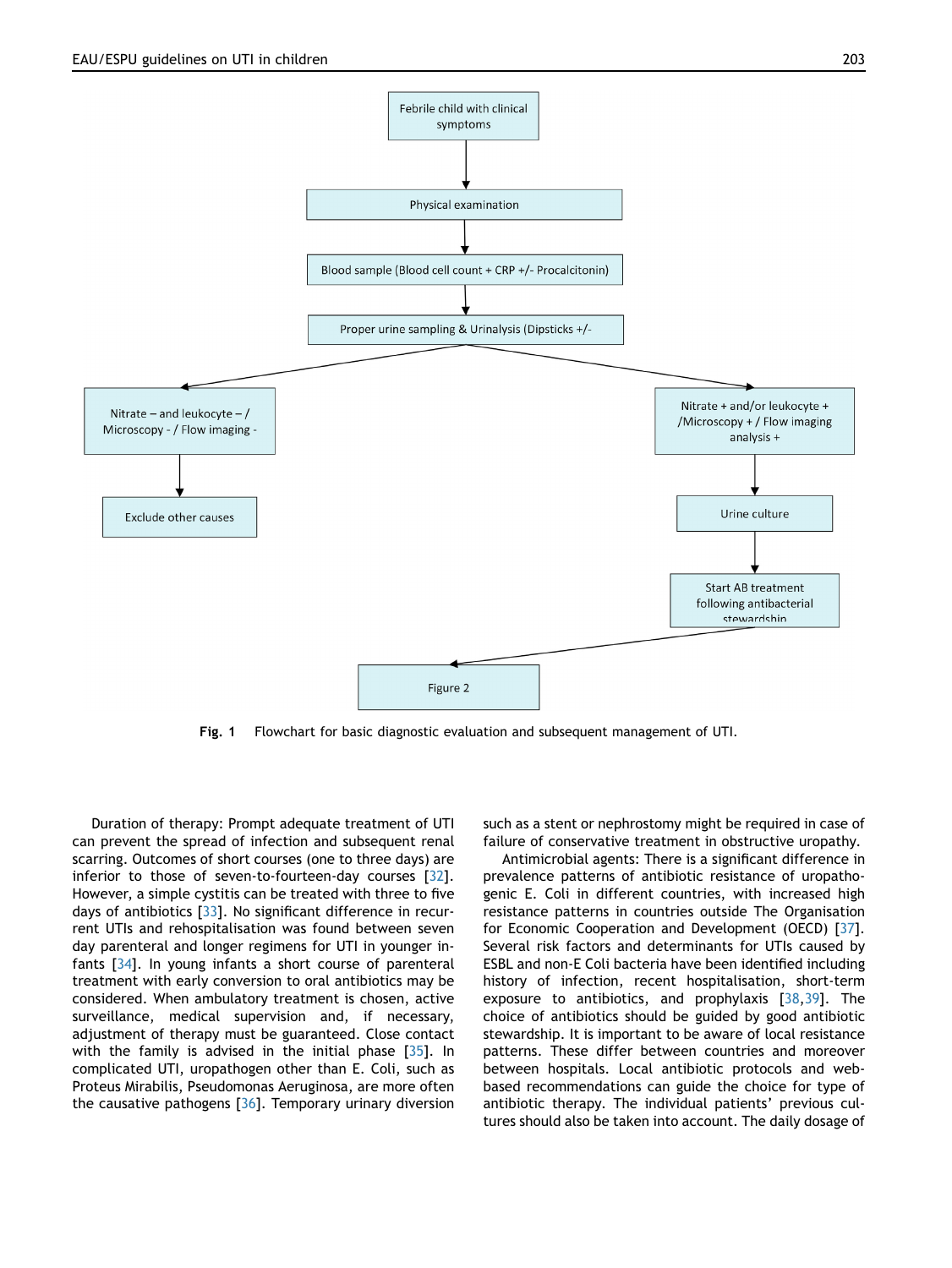<span id="page-3-0"></span>

Fig. 1 Flowchart for basic diagnostic evaluation and subsequent management of UTI.

Duration of therapy: Prompt adequate treatment of UTI can prevent the spread of infection and subsequent renal scarring. Outcomes of short courses (one to three days) are inferior to those of seven-to-fourteen-day courses [[32\]](#page-6-25). However, a simple cystitis can be treated with three to five days of antibiotics [[33](#page-7-0)]. No significant difference in recurrent UTIs and rehospitalisation was found between seven day parenteral and longer regimens for UTI in younger infants [\[34](#page-7-1)]. In young infants a short course of parenteral treatment with early conversion to oral antibiotics may be considered. When ambulatory treatment is chosen, active surveillance, medical supervision and, if necessary, adjustment of therapy must be guaranteed. Close contact with the family is advised in the initial phase [[35](#page-7-2)]. In complicated UTI, uropathogen other than E. Coli, such as Proteus Mirabilis, Pseudomonas Aeruginosa, are more often the causative pathogens [[36](#page-7-3)]. Temporary urinary diversion such as a stent or nephrostomy might be required in case of failure of conservative treatment in obstructive uropathy.

Antimicrobial agents: There is a significant difference in prevalence patterns of antibiotic resistance of uropathogenic E. Coli in different countries, with increased high resistance patterns in countries outside The Organisation for Economic Cooperation and Development (OECD) [[37\]](#page-7-4). Several risk factors and determinants for UTIs caused by ESBL and non-E Coli bacteria have been identified including history of infection, recent hospitalisation, short-term exposure to antibiotics, and prophylaxis [[38](#page-7-5),[39\]](#page-7-6). The choice of antibiotics should be guided by good antibiotic stewardship. It is important to be aware of local resistance patterns. These differ between countries and moreover between hospitals. Local antibiotic protocols and webbased recommendations can guide the choice for type of antibiotic therapy. The individual patients' previous cultures should also be taken into account. The daily dosage of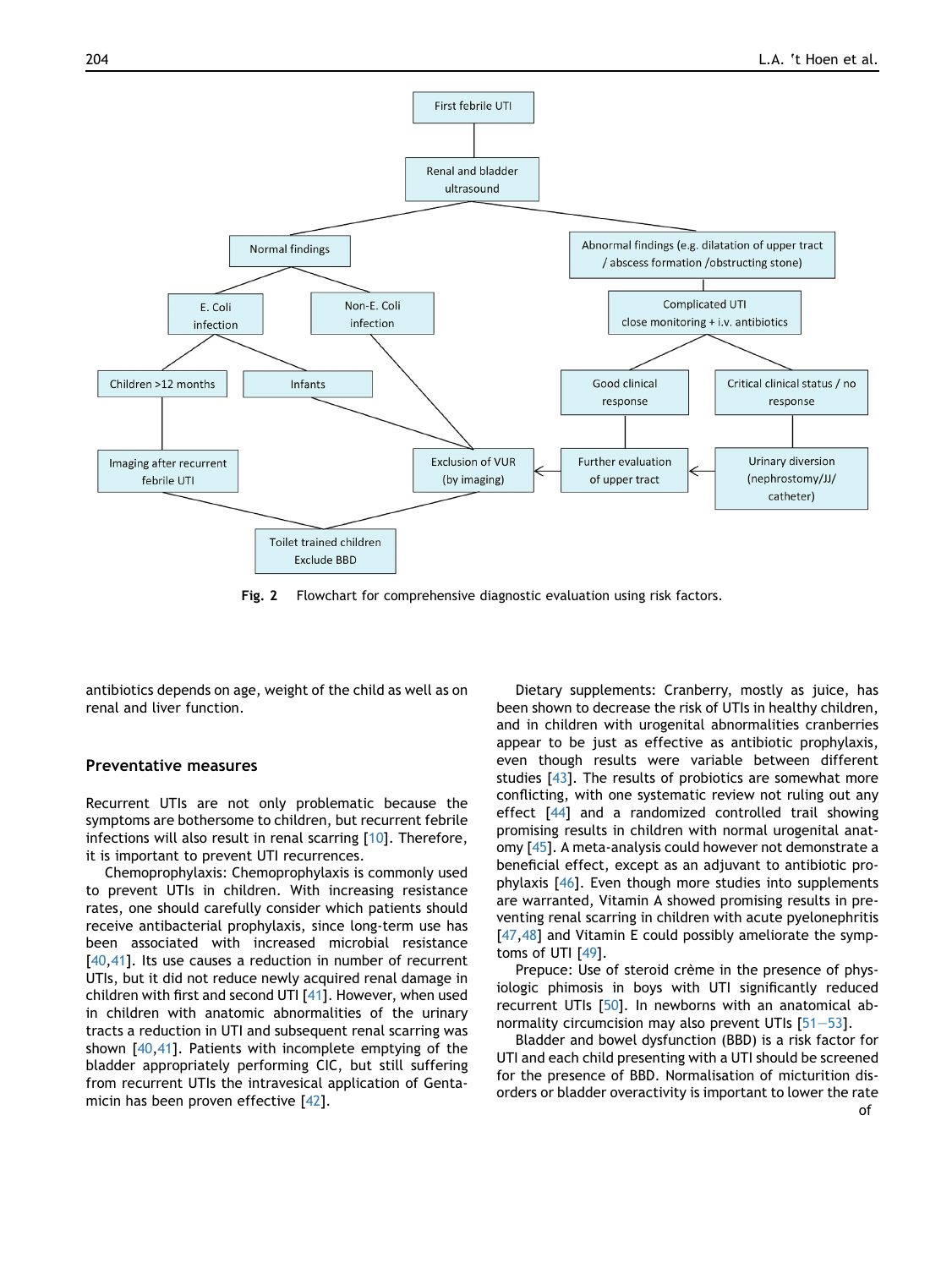<span id="page-4-0"></span>

Fig. 2 Flowchart for comprehensive diagnostic evaluation using risk factors.

antibiotics depends on age, weight of the child as well as on renal and liver function.

## Preventative measures

Recurrent UTIs are not only problematic because the symptoms are bothersome to children, but recurrent febrile infections will also result in renal scarring [[10](#page-6-7)]. Therefore, it is important to prevent UTI recurrences.

Chemoprophylaxis: Chemoprophylaxis is commonly used to prevent UTIs in children. With increasing resistance rates, one should carefully consider which patients should receive antibacterial prophylaxis, since long-term use has been associated with increased microbial resistance [\[40](#page-7-7),[41\]](#page-7-8). Its use causes a reduction in number of recurrent UTIs, but it did not reduce newly acquired renal damage in children with first and second UTI [[41\]](#page-7-8). However, when used in children with anatomic abnormalities of the urinary tracts a reduction in UTI and subsequent renal scarring was shown [\[40](#page-7-7),[41](#page-7-8)]. Patients with incomplete emptying of the bladder appropriately performing CIC, but still suffering from recurrent UTIs the intravesical application of Gentamicin has been proven effective [\[42\]](#page-7-9).

Dietary supplements: Cranberry, mostly as juice, has been shown to decrease the risk of UTIs in healthy children, and in children with urogenital abnormalities cranberries appear to be just as effective as antibiotic prophylaxis, even though results were variable between different studies [[43](#page-7-10)]. The results of probiotics are somewhat more conflicting, with one systematic review not ruling out any effect [[44\]](#page-7-11) and a randomized controlled trail showing promising results in children with normal urogenital anatomy [[45](#page-7-12)]. A meta-analysis could however not demonstrate a beneficial effect, except as an adjuvant to antibiotic prophylaxis [\[46](#page-7-13)]. Even though more studies into supplements are warranted, Vitamin A showed promising results in preventing renal scarring in children with acute pyelonephritis [\[47](#page-7-14),[48](#page-7-15)] and Vitamin E could possibly ameliorate the symptoms of UTI [\[49\]](#page-7-16).

Prepuce: Use of steroid crème in the presence of physiologic phimosis in boys with UTI significantly reduced recurrent UTIs [[50](#page-7-17)]. In newborns with an anatomical abnormality circumcision may also prevent UTIs  $[51-53]$  $[51-53]$  $[51-53]$  $[51-53]$ .

Bladder and bowel dysfunction (BBD) is a risk factor for UTI and each child presenting with a UTI should be screened for the presence of BBD. Normalisation of micturition disorders or bladder overactivity is important to lower the rate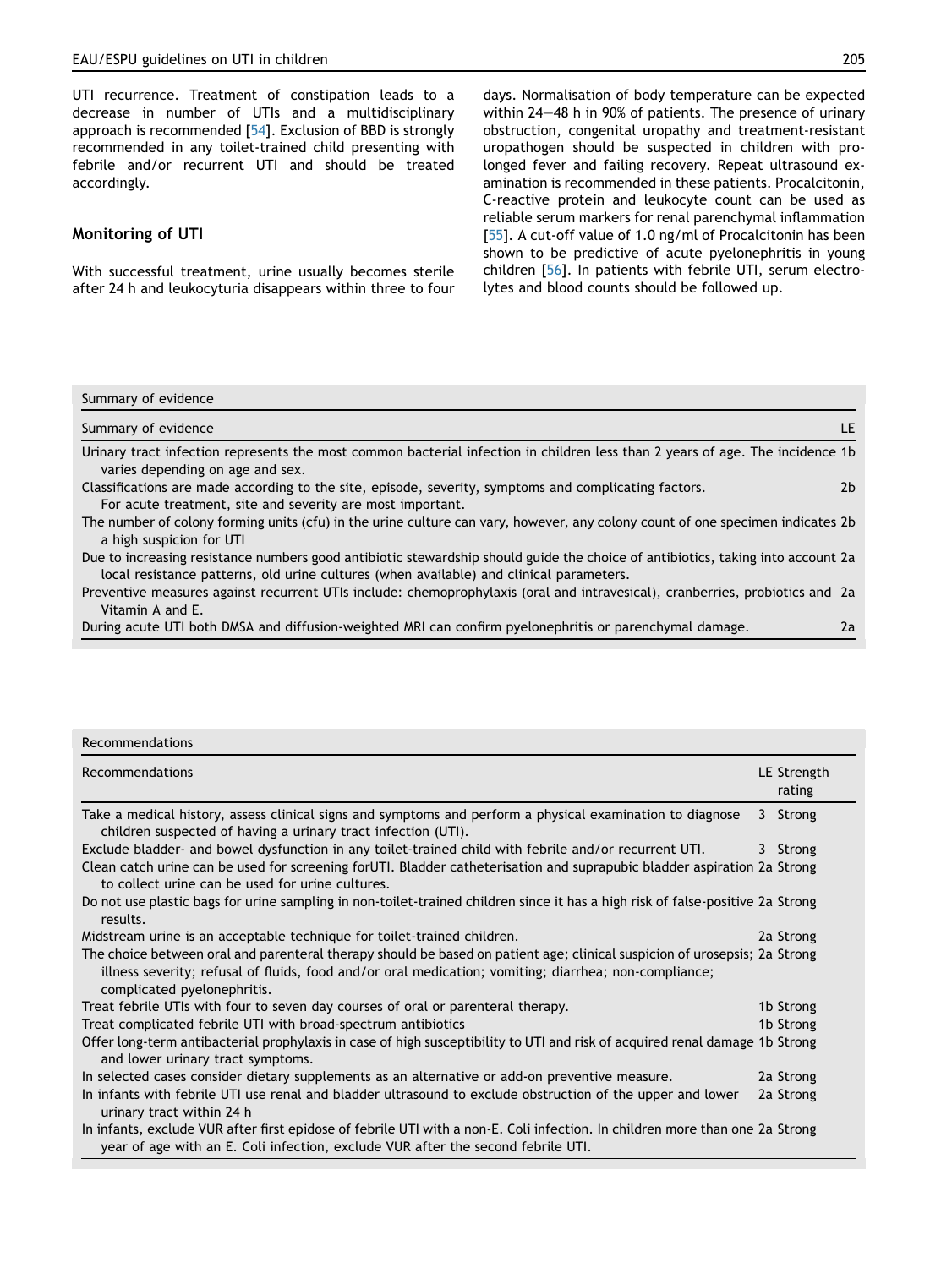UTI recurrence. Treatment of constipation leads to a decrease in number of UTIs and a multidisciplinary approach is recommended [[54](#page-7-19)]. Exclusion of BBD is strongly recommended in any toilet-trained child presenting with febrile and/or recurrent UTI and should be treated accordingly.

# Monitoring of UTI

With successful treatment, urine usually becomes sterile after 24 h and leukocyturia disappears within three to four days. Normalisation of body temperature can be expected within  $24-48$  h in 90% of patients. The presence of urinary obstruction, congenital uropathy and treatment-resistant uropathogen should be suspected in children with prolonged fever and failing recovery. Repeat ultrasound examination is recommended in these patients. Procalcitonin, C-reactive protein and leukocyte count can be used as reliable serum markers for renal parenchymal inflammation [[55\]](#page-7-20). A cut-off value of 1.0 ng/ml of Procalcitonin has been shown to be predictive of acute pyelonephritis in young children [\[56\]](#page-7-21). In patients with febrile UTI, serum electrolytes and blood counts should be followed up.

#### Summary of evidence

| Summary of evidence                                                                                                                                                                                                        | IF. |
|----------------------------------------------------------------------------------------------------------------------------------------------------------------------------------------------------------------------------|-----|
| Urinary tract infection represents the most common bacterial infection in children less than 2 years of age. The incidence 1b<br>varies depending on age and sex.                                                          |     |
| Classifications are made according to the site, episode, severity, symptoms and complicating factors.<br>For acute treatment, site and severity are most important.                                                        | 2b  |
| The number of colony forming units (cfu) in the urine culture can vary, however, any colony count of one specimen indicates 2b<br>a high suspicion for UTI                                                                 |     |
| Due to increasing resistance numbers good antibiotic stewardship should guide the choice of antibiotics, taking into account 2a<br>local resistance patterns, old urine cultures (when available) and clinical parameters. |     |
| Preventive measures against recurrent UTIs include: chemoprophylaxis (oral and intravesical), cranberries, probiotics and 2a                                                                                               |     |

Vitamin A and E.

During acute UTI both DMSA and diffusion-weighted MRI can confirm pyelonephritis or parenchymal damage. 2a

| <b>Recommendations</b>                                                                                                                                                                                                                                            |                       |
|-------------------------------------------------------------------------------------------------------------------------------------------------------------------------------------------------------------------------------------------------------------------|-----------------------|
| Recommendations                                                                                                                                                                                                                                                   | LE Strength<br>rating |
| Take a medical history, assess clinical signs and symptoms and perform a physical examination to diagnose<br>children suspected of having a urinary tract infection (UTI).                                                                                        | 3 Strong              |
| Exclude bladder- and bowel dysfunction in any toilet-trained child with febrile and/or recurrent UTI.                                                                                                                                                             | 3 Strong              |
| Clean catch urine can be used for screening for UTI. Bladder catheterisation and suprapubic bladder aspiration 2a Strong<br>to collect urine can be used for urine cultures.                                                                                      |                       |
| Do not use plastic bags for urine sampling in non-toilet-trained children since it has a high risk of false-positive 2a Strong<br>results.                                                                                                                        |                       |
| Midstream urine is an acceptable technique for toilet-trained children.                                                                                                                                                                                           | 2a Strong             |
| The choice between oral and parenteral therapy should be based on patient age; clinical suspicion of urosepsis; 2a Strong<br>illness severity; refusal of fluids, food and/or oral medication; vomiting; diarrhea; non-compliance;<br>complicated pyelonephritis. |                       |
| Treat febrile UTIs with four to seven day courses of oral or parenteral therapy.                                                                                                                                                                                  | 1b Strong             |
| Treat complicated febrile UTI with broad-spectrum antibiotics                                                                                                                                                                                                     | 1b Strong             |
| Offer long-term antibacterial prophylaxis in case of high susceptibility to UTI and risk of acquired renal damage 1b Strong<br>and lower urinary tract symptoms.                                                                                                  |                       |
| In selected cases consider dietary supplements as an alternative or add-on preventive measure.                                                                                                                                                                    | 2a Strong             |
| In infants with febrile UTI use renal and bladder ultrasound to exclude obstruction of the upper and lower<br>urinary tract within 24 h                                                                                                                           | 2a Strong             |
| In infants, exclude VUR after first epidose of febrile UTI with a non-E. Coli infection. In children more than one 2a Strong<br>year of age with an E. Coli infection, exclude VUR after the second febrile UTI.                                                  |                       |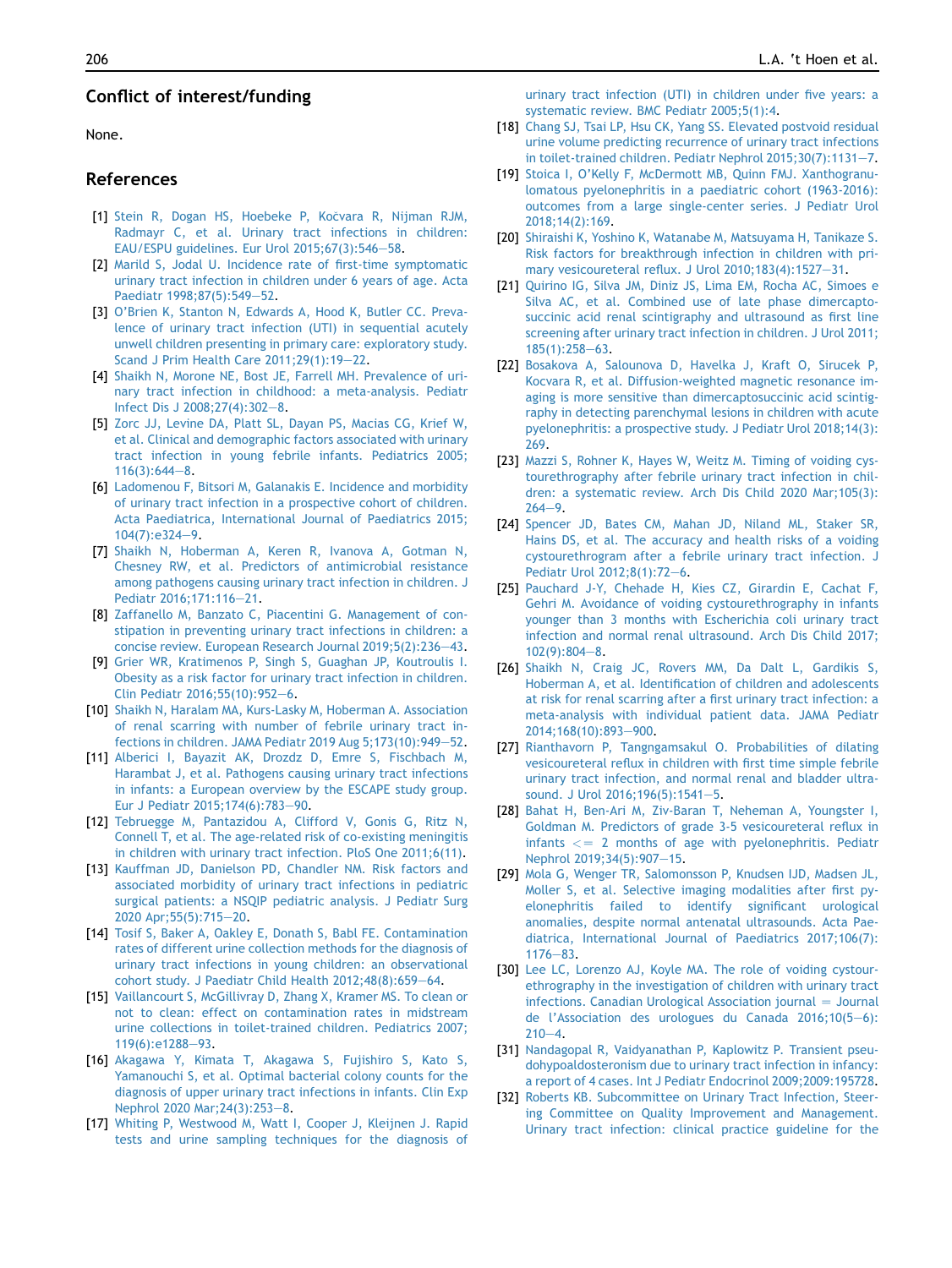# Conflict of interest/funding

None.

# References

- <span id="page-6-0"></span>[1] [Stein R, Dogan HS, Hoebeke P, Ko](http://refhub.elsevier.com/S1477-5131(21)00068-1/sref1)čvara R, Nijman RJM, [Radmayr C, et al. Urinary tract infections in children:](http://refhub.elsevier.com/S1477-5131(21)00068-1/sref1) EAU/ESPU guidelines. Eur Urol  $2015;67(3):546-58$ .
- <span id="page-6-1"></span>[2] [Marild S, Jodal U. Incidence rate of first-time symptomatic](http://refhub.elsevier.com/S1477-5131(21)00068-1/sref2) [urinary tract infection in children under 6 years of age. Acta](http://refhub.elsevier.com/S1477-5131(21)00068-1/sref2) [Paediatr 1998;87\(5\):549](http://refhub.elsevier.com/S1477-5131(21)00068-1/sref2)-[52.](http://refhub.elsevier.com/S1477-5131(21)00068-1/sref2)
- <span id="page-6-2"></span>[3] [O'Brien K, Stanton N, Edwards A, Hood K, Butler CC. Preva](http://refhub.elsevier.com/S1477-5131(21)00068-1/sref3)[lence of urinary tract infection \(UTI\) in sequential acutely](http://refhub.elsevier.com/S1477-5131(21)00068-1/sref3) [unwell children presenting in primary care: exploratory study.](http://refhub.elsevier.com/S1477-5131(21)00068-1/sref3) [Scand J Prim Health Care 2011;29\(1\):19](http://refhub.elsevier.com/S1477-5131(21)00068-1/sref3)-[22](http://refhub.elsevier.com/S1477-5131(21)00068-1/sref3).
- <span id="page-6-3"></span>[4] [Shaikh N, Morone NE, Bost JE, Farrell MH. Prevalence of uri](http://refhub.elsevier.com/S1477-5131(21)00068-1/sref4)[nary tract infection in childhood: a meta-analysis. Pediatr](http://refhub.elsevier.com/S1477-5131(21)00068-1/sref4) Infect Dis J  $2008;27(4):302-8$ .
- <span id="page-6-4"></span>[5] [Zorc JJ, Levine DA, Platt SL, Dayan PS, Macias CG, Krief W,](http://refhub.elsevier.com/S1477-5131(21)00068-1/sref5) [et al. Clinical and demographic factors associated with urinary](http://refhub.elsevier.com/S1477-5131(21)00068-1/sref5) [tract infection in young febrile infants. Pediatrics 2005;](http://refhub.elsevier.com/S1477-5131(21)00068-1/sref5)  $116(3):644-8.$  $116(3):644-8.$  $116(3):644-8.$  $116(3):644-8.$
- <span id="page-6-5"></span>[6] [Ladomenou F, Bitsori M, Galanakis E. Incidence and morbidity](http://refhub.elsevier.com/S1477-5131(21)00068-1/sref6) [of urinary tract infection in a prospective cohort of children.](http://refhub.elsevier.com/S1477-5131(21)00068-1/sref6) [Acta Paediatrica, International Journal of Paediatrics 2015;](http://refhub.elsevier.com/S1477-5131(21)00068-1/sref6)  $104(7):e324-9.$  $104(7):e324-9.$  $104(7):e324-9.$
- <span id="page-6-6"></span>[7] [Shaikh N, Hoberman A, Keren R, Ivanova A, Gotman N,](http://refhub.elsevier.com/S1477-5131(21)00068-1/sref7) [Chesney RW, et al. Predictors of antimicrobial resistance](http://refhub.elsevier.com/S1477-5131(21)00068-1/sref7) [among pathogens causing urinary tract infection in children. J](http://refhub.elsevier.com/S1477-5131(21)00068-1/sref7) [Pediatr 2016;171:116](http://refhub.elsevier.com/S1477-5131(21)00068-1/sref7)-[21.](http://refhub.elsevier.com/S1477-5131(21)00068-1/sref7)
- [8] [Zaffanello M, Banzato C, Piacentini G. Management of con](http://refhub.elsevier.com/S1477-5131(21)00068-1/sref8)[stipation in preventing urinary tract infections in children: a](http://refhub.elsevier.com/S1477-5131(21)00068-1/sref8) [concise review. European Research Journal 2019;5\(2\):236](http://refhub.elsevier.com/S1477-5131(21)00068-1/sref8)-[43.](http://refhub.elsevier.com/S1477-5131(21)00068-1/sref8)
- [9] [Grier WR, Kratimenos P, Singh S, Guaghan JP, Koutroulis I.](http://refhub.elsevier.com/S1477-5131(21)00068-1/sref9) [Obesity as a risk factor for urinary tract infection in children.](http://refhub.elsevier.com/S1477-5131(21)00068-1/sref9) [Clin Pediatr 2016;55\(10\):952](http://refhub.elsevier.com/S1477-5131(21)00068-1/sref9)-[6.](http://refhub.elsevier.com/S1477-5131(21)00068-1/sref9)
- <span id="page-6-7"></span>[10] [Shaikh N, Haralam MA, Kurs-Lasky M, Hoberman A. Association](http://refhub.elsevier.com/S1477-5131(21)00068-1/sref10) [of renal scarring with number of febrile urinary tract in](http://refhub.elsevier.com/S1477-5131(21)00068-1/sref10)[fections in children. JAMA Pediatr 2019 Aug 5;173\(10\):949](http://refhub.elsevier.com/S1477-5131(21)00068-1/sref10)-[52.](http://refhub.elsevier.com/S1477-5131(21)00068-1/sref10)
- <span id="page-6-8"></span>[11] [Alberici I, Bayazit AK, Drozdz D, Emre S, Fischbach M,](http://refhub.elsevier.com/S1477-5131(21)00068-1/sref11) [Harambat J, et al. Pathogens causing urinary tract infections](http://refhub.elsevier.com/S1477-5131(21)00068-1/sref11) [in infants: a European overview by the ESCAPE study group.](http://refhub.elsevier.com/S1477-5131(21)00068-1/sref11) [Eur J Pediatr 2015;174\(6\):783](http://refhub.elsevier.com/S1477-5131(21)00068-1/sref11)-[90.](http://refhub.elsevier.com/S1477-5131(21)00068-1/sref11)
- <span id="page-6-9"></span>[12] [Tebruegge M, Pantazidou A, Clifford V, Gonis G, Ritz N,](http://refhub.elsevier.com/S1477-5131(21)00068-1/sref12) [Connell T, et al. The age-related risk of co-existing meningitis](http://refhub.elsevier.com/S1477-5131(21)00068-1/sref12) [in children with urinary tract infection. PloS One 2011;6\(11\)](http://refhub.elsevier.com/S1477-5131(21)00068-1/sref12).
- <span id="page-6-10"></span>[13] [Kauffman JD, Danielson PD, Chandler NM. Risk factors and](http://refhub.elsevier.com/S1477-5131(21)00068-1/sref13) [associated morbidity of urinary tract infections in pediatric](http://refhub.elsevier.com/S1477-5131(21)00068-1/sref13) [surgical patients: a NSQIP pediatric analysis. J Pediatr Surg](http://refhub.elsevier.com/S1477-5131(21)00068-1/sref13) 2020 Apr; 55(5): 715-[20.](http://refhub.elsevier.com/S1477-5131(21)00068-1/sref13)
- <span id="page-6-11"></span>[14] [Tosif S, Baker A, Oakley E, Donath S, Babl FE. Contamination](http://refhub.elsevier.com/S1477-5131(21)00068-1/sref14) [rates of different urine collection methods for the diagnosis of](http://refhub.elsevier.com/S1477-5131(21)00068-1/sref14) [urinary tract infections in young children: an observational](http://refhub.elsevier.com/S1477-5131(21)00068-1/sref14) [cohort study. J Paediatr Child Health 2012;48\(8\):659](http://refhub.elsevier.com/S1477-5131(21)00068-1/sref14)-[64.](http://refhub.elsevier.com/S1477-5131(21)00068-1/sref14)
- <span id="page-6-12"></span>[15] [Vaillancourt S, McGillivray D, Zhang X, Kramer MS. To clean or](http://refhub.elsevier.com/S1477-5131(21)00068-1/sref15) [not to clean: effect on contamination rates in midstream](http://refhub.elsevier.com/S1477-5131(21)00068-1/sref15) [urine collections in toilet-trained children. Pediatrics 2007;](http://refhub.elsevier.com/S1477-5131(21)00068-1/sref15) [119\(6\):e1288](http://refhub.elsevier.com/S1477-5131(21)00068-1/sref15)-[93](http://refhub.elsevier.com/S1477-5131(21)00068-1/sref15).
- <span id="page-6-13"></span>[16] [Akagawa Y, Kimata T, Akagawa S, Fujishiro S, Kato S,](http://refhub.elsevier.com/S1477-5131(21)00068-1/sref16) [Yamanouchi S, et al. Optimal bacterial colony counts for the](http://refhub.elsevier.com/S1477-5131(21)00068-1/sref16) [diagnosis of upper urinary tract infections in infants. Clin Exp](http://refhub.elsevier.com/S1477-5131(21)00068-1/sref16) Nephrol 2020 Mar; 24(3): 253-[8](http://refhub.elsevier.com/S1477-5131(21)00068-1/sref16).
- <span id="page-6-14"></span>[17] [Whiting P, Westwood M, Watt I, Cooper J, Kleijnen J. Rapid](http://refhub.elsevier.com/S1477-5131(21)00068-1/sref17) [tests and urine sampling techniques for the diagnosis of](http://refhub.elsevier.com/S1477-5131(21)00068-1/sref17)

[urinary tract infection \(UTI\) in children under five years: a](http://refhub.elsevier.com/S1477-5131(21)00068-1/sref17) [systematic review. BMC Pediatr 2005;5\(1\):4.](http://refhub.elsevier.com/S1477-5131(21)00068-1/sref17)

- <span id="page-6-15"></span>[18] [Chang SJ, Tsai LP, Hsu CK, Yang SS. Elevated postvoid residual](http://refhub.elsevier.com/S1477-5131(21)00068-1/sref18) [urine volume predicting recurrence of urinary tract infections](http://refhub.elsevier.com/S1477-5131(21)00068-1/sref18) in toilet-trained children. Pediatr Nephrol  $2015;30(7):1131-7$  $2015;30(7):1131-7$  $2015;30(7):1131-7$ .
- <span id="page-6-16"></span>[19] [Stoica I, O'Kelly F, McDermott MB, Quinn FMJ. Xanthogranu](http://refhub.elsevier.com/S1477-5131(21)00068-1/sref19)[lomatous pyelonephritis in a paediatric cohort \(1963-2016\):](http://refhub.elsevier.com/S1477-5131(21)00068-1/sref19) [outcomes from a large single-center series. J Pediatr Urol](http://refhub.elsevier.com/S1477-5131(21)00068-1/sref19) [2018;14\(2\):169.](http://refhub.elsevier.com/S1477-5131(21)00068-1/sref19)
- <span id="page-6-17"></span>[20] [Shiraishi K, Yoshino K, Watanabe M, Matsuyama H, Tanikaze S.](http://refhub.elsevier.com/S1477-5131(21)00068-1/sref20) [Risk factors for breakthrough infection in children with pri](http://refhub.elsevier.com/S1477-5131(21)00068-1/sref20)[mary vesicoureteral reflux. J Urol 2010;183\(4\):1527](http://refhub.elsevier.com/S1477-5131(21)00068-1/sref20)-[31.](http://refhub.elsevier.com/S1477-5131(21)00068-1/sref20)
- <span id="page-6-18"></span>[21] [Quirino IG, Silva JM, Diniz JS, Lima EM, Rocha AC, Simoes e](http://refhub.elsevier.com/S1477-5131(21)00068-1/sref21) [Silva AC, et al. Combined use of late phase dimercapto](http://refhub.elsevier.com/S1477-5131(21)00068-1/sref21)[succinic acid renal scintigraphy and ultrasound as first line](http://refhub.elsevier.com/S1477-5131(21)00068-1/sref21) [screening after urinary tract infection in children. J Urol 2011;](http://refhub.elsevier.com/S1477-5131(21)00068-1/sref21)  $185(1):258-63.$  $185(1):258-63.$  $185(1):258-63.$
- <span id="page-6-19"></span>[22] [Bosakova A, Salounova D, Havelka J, Kraft O, Sirucek P,](http://refhub.elsevier.com/S1477-5131(21)00068-1/sref22) [Kocvara R, et al. Diffusion-weighted magnetic resonance im](http://refhub.elsevier.com/S1477-5131(21)00068-1/sref22)[aging is more sensitive than dimercaptosuccinic acid scintig](http://refhub.elsevier.com/S1477-5131(21)00068-1/sref22)[raphy in detecting parenchymal lesions in children with acute](http://refhub.elsevier.com/S1477-5131(21)00068-1/sref22) [pyelonephritis: a prospective study. J Pediatr Urol 2018;14\(3\):](http://refhub.elsevier.com/S1477-5131(21)00068-1/sref22) [269](http://refhub.elsevier.com/S1477-5131(21)00068-1/sref22).
- <span id="page-6-20"></span>[23] [Mazzi S, Rohner K, Hayes W, Weitz M. Timing of voiding cys](http://refhub.elsevier.com/S1477-5131(21)00068-1/sref23)[tourethrography after febrile urinary tract infection in chil](http://refhub.elsevier.com/S1477-5131(21)00068-1/sref23)[dren: a systematic review. Arch Dis Child 2020 Mar;105\(3\):](http://refhub.elsevier.com/S1477-5131(21)00068-1/sref23)  $264 - 9$  $264 - 9$  $264 - 9$ .
- <span id="page-6-21"></span>[24] [Spencer JD, Bates CM, Mahan JD, Niland ML, Staker SR,](http://refhub.elsevier.com/S1477-5131(21)00068-1/sref24) [Hains DS, et al. The accuracy and health risks of a voiding](http://refhub.elsevier.com/S1477-5131(21)00068-1/sref24) [cystourethrogram after a febrile urinary tract infection. J](http://refhub.elsevier.com/S1477-5131(21)00068-1/sref24) [Pediatr Urol 2012;8\(1\):72](http://refhub.elsevier.com/S1477-5131(21)00068-1/sref24)-[6.](http://refhub.elsevier.com/S1477-5131(21)00068-1/sref24)
- <span id="page-6-22"></span>[25] [Pauchard J-Y, Chehade H, Kies CZ, Girardin E, Cachat F,](http://refhub.elsevier.com/S1477-5131(21)00068-1/sref25) [Gehri M. Avoidance of voiding cystourethrography in infants](http://refhub.elsevier.com/S1477-5131(21)00068-1/sref25) [younger than 3 months with Escherichia coli urinary tract](http://refhub.elsevier.com/S1477-5131(21)00068-1/sref25) [infection and normal renal ultrasound. Arch Dis Child 2017;](http://refhub.elsevier.com/S1477-5131(21)00068-1/sref25)  $102(9):804-8.$  $102(9):804-8.$  $102(9):804-8.$
- [26] [Shaikh N, Craig JC, Rovers MM, Da Dalt L, Gardikis S,](http://refhub.elsevier.com/S1477-5131(21)00068-1/sref26) [Hoberman A, et al. Identification of children and adolescents](http://refhub.elsevier.com/S1477-5131(21)00068-1/sref26) [at risk for renal scarring after a first urinary tract infection: a](http://refhub.elsevier.com/S1477-5131(21)00068-1/sref26) [meta-analysis with individual patient data. JAMA Pediatr](http://refhub.elsevier.com/S1477-5131(21)00068-1/sref26) 2014:168(10):893-[900.](http://refhub.elsevier.com/S1477-5131(21)00068-1/sref26)
- [27] [Rianthavorn P, Tangngamsakul O. Probabilities of dilating](http://refhub.elsevier.com/S1477-5131(21)00068-1/sref27) [vesicoureteral reflux in children with first time simple febrile](http://refhub.elsevier.com/S1477-5131(21)00068-1/sref27) [urinary tract infection, and normal renal and bladder ultra-](http://refhub.elsevier.com/S1477-5131(21)00068-1/sref27)sound. J Urol 2016:196([5](http://refhub.elsevier.com/S1477-5131(21)00068-1/sref27)):1541-5.
- [28] [Bahat H, Ben-Ari M, Ziv-Baran T, Neheman A, Youngster I,](http://refhub.elsevier.com/S1477-5131(21)00068-1/sref28) [Goldman M. Predictors of grade 3-5 vesicoureteral reflux in](http://refhub.elsevier.com/S1477-5131(21)00068-1/sref28) [infants](http://refhub.elsevier.com/S1477-5131(21)00068-1/sref28)  $\langle z - 2 \rangle$  months of age with pyelonephritis. Pediatr Nephrol 2019:34(5):907-[15.](http://refhub.elsevier.com/S1477-5131(21)00068-1/sref28)
- [29] [Mola G, Wenger TR, Salomonsson P, Knudsen IJD, Madsen JL,](http://refhub.elsevier.com/S1477-5131(21)00068-1/sref29) [Moller S, et al. Selective imaging modalities after first py](http://refhub.elsevier.com/S1477-5131(21)00068-1/sref29)[elonephritis failed to identify significant urological](http://refhub.elsevier.com/S1477-5131(21)00068-1/sref29) [anomalies, despite normal antenatal ultrasounds. Acta Pae](http://refhub.elsevier.com/S1477-5131(21)00068-1/sref29)[diatrica, International Journal of Paediatrics 2017;106\(7\):](http://refhub.elsevier.com/S1477-5131(21)00068-1/sref29)  $1176 - 83.$  $1176 - 83.$  $1176 - 83.$
- <span id="page-6-23"></span>[30] [Lee LC, Lorenzo AJ, Koyle MA. The role of voiding cystour](http://refhub.elsevier.com/S1477-5131(21)00068-1/sref30)[ethrography in the investigation of children with urinary tract](http://refhub.elsevier.com/S1477-5131(21)00068-1/sref30)  $infections.$  Canadian Urological Association journal  $=$  Journal [de l'Association des urologues du Canada 2016;10\(5](http://refhub.elsevier.com/S1477-5131(21)00068-1/sref30)-[6\):](http://refhub.elsevier.com/S1477-5131(21)00068-1/sref30)  $210 - 4.$  $210 - 4.$  $210 - 4.$  $210 - 4.$
- <span id="page-6-24"></span>[31] [Nandagopal R, Vaidyanathan P, Kaplowitz P. Transient pseu](http://refhub.elsevier.com/S1477-5131(21)00068-1/sref31)[dohypoaldosteronism due to urinary tract infection in infancy:](http://refhub.elsevier.com/S1477-5131(21)00068-1/sref31) [a report of 4 cases. Int J Pediatr Endocrinol 2009;2009:195728](http://refhub.elsevier.com/S1477-5131(21)00068-1/sref31).
- <span id="page-6-25"></span>[32] [Roberts KB. Subcommittee on Urinary Tract Infection, Steer](http://refhub.elsevier.com/S1477-5131(21)00068-1/sref32)[ing Committee on Quality Improvement and Management.](http://refhub.elsevier.com/S1477-5131(21)00068-1/sref32) [Urinary tract infection: clinical practice guideline for the](http://refhub.elsevier.com/S1477-5131(21)00068-1/sref32)